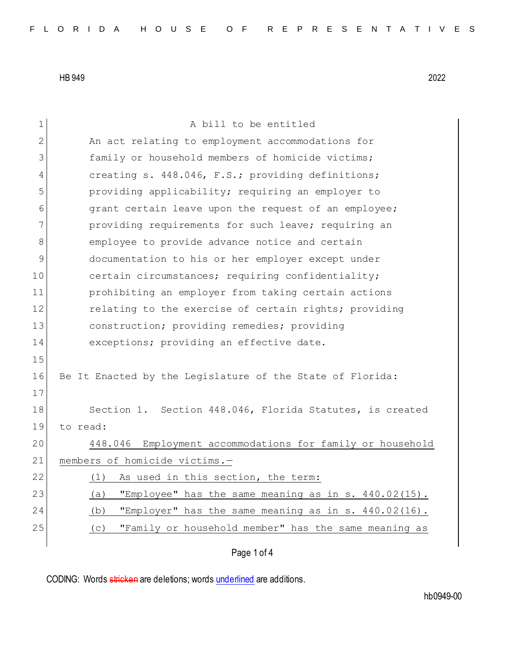| $\mathbf 1$ | A bill to be entitled                                        |
|-------------|--------------------------------------------------------------|
| 2           | An act relating to employment accommodations for             |
| 3           | family or household members of homicide victims;             |
| 4           | creating s. 448.046, F.S.; providing definitions;            |
| 5           | providing applicability; requiring an employer to            |
| 6           | grant certain leave upon the request of an employee;         |
| 7           | providing requirements for such leave; requiring an          |
| 8           | employee to provide advance notice and certain               |
| 9           | documentation to his or her employer except under            |
| 10          | certain circumstances; requiring confidentiality;            |
| 11          | prohibiting an employer from taking certain actions          |
| 12          | relating to the exercise of certain rights; providing        |
| 13          | construction; providing remedies; providing                  |
| 14          | exceptions; providing an effective date.                     |
| 15          |                                                              |
| 16          | Be It Enacted by the Legislature of the State of Florida:    |
| 17          |                                                              |
| 18          | Section 1. Section 448.046, Florida Statutes, is created     |
| 19          | to read:                                                     |
| 20          | Employment accommodations for family or household<br>448.046 |
| 21          | members of homicide victims.-                                |
| 22          | As used in this section, the term:<br>(1)                    |
| 23          | "Employee" has the same meaning as in s. 440.02(15).<br>(a)  |
| 24          | "Employer" has the same meaning as in s. 440.02(16).<br>(b)  |
| 25          | "Family or household member" has the same meaning as<br>(C)  |
|             | Page 1 of 4                                                  |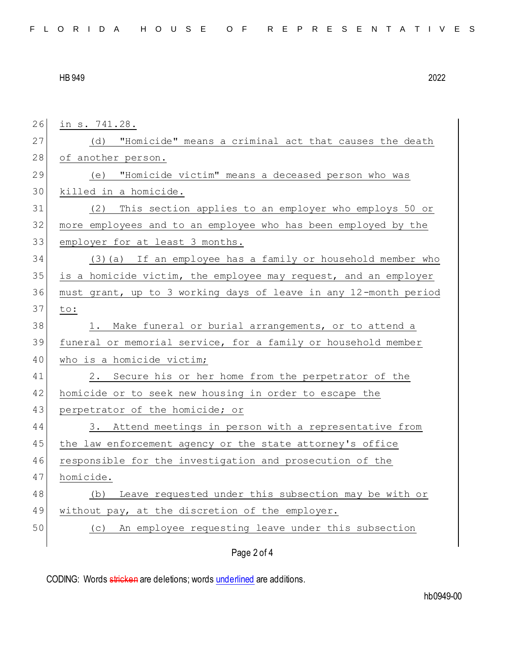| 26 | in s. 741.28.                                                    |
|----|------------------------------------------------------------------|
| 27 | (d) "Homicide" means a criminal act that causes the death        |
| 28 | of another person.                                               |
| 29 | (e) "Homicide victim" means a deceased person who was            |
| 30 | killed in a homicide.                                            |
| 31 | This section applies to an employer who employs 50 or<br>(2)     |
| 32 | more employees and to an employee who has been employed by the   |
| 33 | employer for at least 3 months.                                  |
| 34 | (3) (a) If an employee has a family or household member who      |
| 35 | is a homicide victim, the employee may request, and an employer  |
| 36 | must grant, up to 3 working days of leave in any 12-month period |
| 37 | to:                                                              |
| 38 | 1. Make funeral or burial arrangements, or to attend a           |
| 39 | funeral or memorial service, for a family or household member    |
| 40 | who is a homicide victim;                                        |
| 41 | 2. Secure his or her home from the perpetrator of the            |
| 42 | homicide or to seek new housing in order to escape the           |
| 43 | perpetrator of the homicide; or                                  |
| 44 | 3. Attend meetings in person with a representative from          |
| 45 | the law enforcement agency or the state attorney's office        |
| 46 | responsible for the investigation and prosecution of the         |
| 47 | homicide.                                                        |
| 48 | Leave requested under this subsection may be with or<br>(b)      |
| 49 | without pay, at the discretion of the employer.                  |
| 50 | An employee requesting leave under this subsection<br>(C)        |
|    | Page 2 of 4                                                      |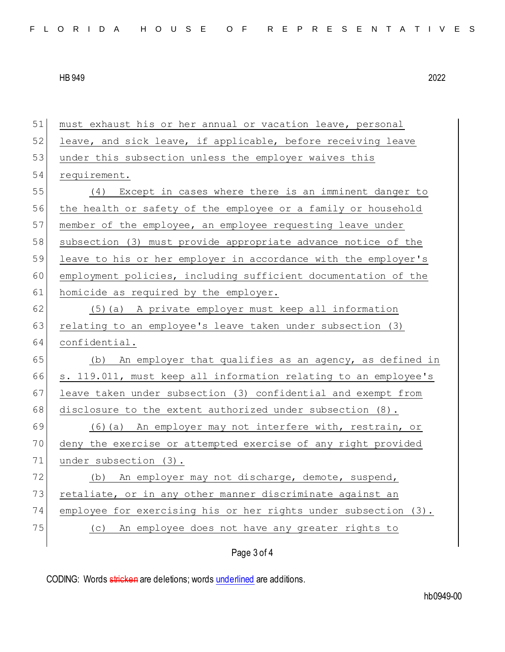| 51 | must exhaust his or her annual or vacation leave, personal      |
|----|-----------------------------------------------------------------|
| 52 | leave, and sick leave, if applicable, before receiving leave    |
| 53 | under this subsection unless the employer waives this           |
| 54 | requirement.                                                    |
| 55 | (4) Except in cases where there is an imminent danger to        |
| 56 | the health or safety of the employee or a family or household   |
| 57 | member of the employee, an employee requesting leave under      |
| 58 | subsection (3) must provide appropriate advance notice of the   |
| 59 | leave to his or her employer in accordance with the employer's  |
| 60 | employment policies, including sufficient documentation of the  |
| 61 | homicide as required by the employer.                           |
| 62 | (5)(a) A private employer must keep all information             |
| 63 | relating to an employee's leave taken under subsection (3)      |
| 64 | confidential.                                                   |
| 65 | (b) An employer that qualifies as an agency, as defined in      |
| 66 | s. 119.011, must keep all information relating to an employee's |
| 67 | leave taken under subsection (3) confidential and exempt from   |
| 68 | disclosure to the extent authorized under subsection (8).       |
| 69 | (6)(a) An employer may not interfere with, restrain, or         |
| 70 | deny the exercise or attempted exercise of any right provided   |
| 71 | under subsection (3).                                           |
| 72 | An employer may not discharge, demote, suspend,<br>(b)          |
| 73 | retaliate, or in any other manner discriminate against an       |
| 74 | employee for exercising his or her rights under subsection (3). |
| 75 | An employee does not have any greater rights to<br>(C)          |
|    |                                                                 |

## Page 3 of 4